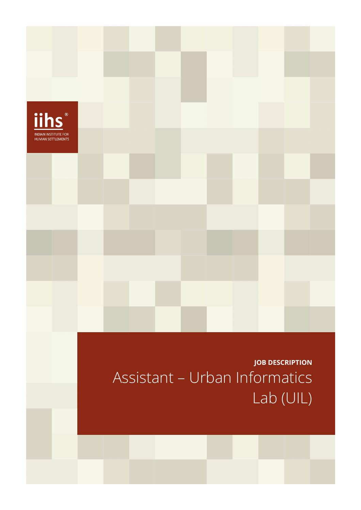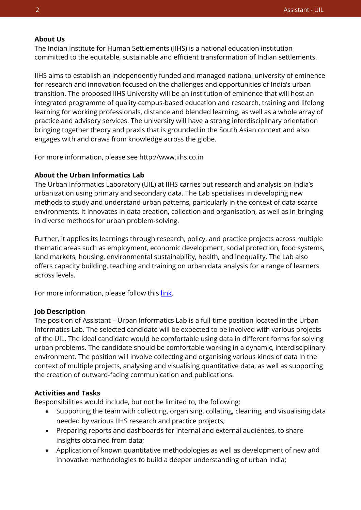### **About Us**

The Indian Institute for Human Settlements (IIHS) is a national education institution committed to the equitable, sustainable and efficient transformation of Indian settlements.

IIHS aims to establish an independently funded and managed national university of eminence for research and innovation focused on the challenges and opportunities of India's urban transition. The proposed IIHS University will be an institution of eminence that will host an integrated programme of quality campus-based education and research, training and lifelong learning for working professionals, distance and blended learning, as well as a whole array of practice and advisory services. The university will have a strong interdisciplinary orientation bringing together theory and praxis that is grounded in the South Asian context and also engages with and draws from knowledge across the globe.

For more information, please see http://www.iihs.co.in

### **About the Urban Informatics Lab**

The Urban Informatics Laboratory (UIL) at IIHS carries out research and analysis on India's urbanization using primary and secondary data. The Lab specialises in developing new methods to study and understand urban patterns, particularly in the context of data-scarce environments. It innovates in data creation, collection and organisation, as well as in bringing in diverse methods for urban problem-solving.

Further, it applies its learnings through research, policy, and practice projects across multiple thematic areas such as employment, economic development, social protection, food systems, land markets, housing, environmental sustainability, health, and inequality. The Lab also offers capacity building, teaching and training on urban data analysis for a range of learners across levels.

For more information, please follow this [link.](https://iihs.co.in/research/labs/urban-informatics-lab/)

#### **Job Description**

The position of Assistant – Urban Informatics Lab is a full-time position located in the Urban Informatics Lab. The selected candidate will be expected to be involved with various projects of the UIL. The ideal candidate would be comfortable using data in different forms for solving urban problems. The candidate should be comfortable working in a dynamic, interdisciplinary environment. The position will involve collecting and organising various kinds of data in the context of multiple projects, analysing and visualising quantitative data, as well as supporting the creation of outward-facing communication and publications.

### **Activities and Tasks**

Responsibilities would include, but not be limited to, the following:

- Supporting the team with collecting, organising, collating, cleaning, and visualising data needed by various IIHS research and practice projects;
- Preparing reports and dashboards for internal and external audiences, to share insights obtained from data;
- Application of known quantitative methodologies as well as development of new and innovative methodologies to build a deeper understanding of urban India;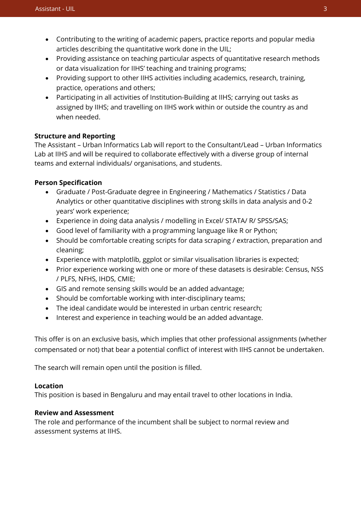- Contributing to the writing of academic papers, practice reports and popular media articles describing the quantitative work done in the UIL;
- Providing assistance on teaching particular aspects of quantitative research methods or data visualization for IIHS' teaching and training programs;
- Providing support to other IIHS activities including academics, research, training, practice, operations and others;
- Participating in all activities of Institution-Building at IIHS; carrying out tasks as assigned by IIHS; and travelling on IIHS work within or outside the country as and when needed.

# **Structure and Reporting**

The Assistant – Urban Informatics Lab will report to the Consultant/Lead – Urban Informatics Lab at IIHS and will be required to collaborate effectively with a diverse group of internal teams and external individuals/ organisations, and students.

# **Person Specification**

- Graduate / Post-Graduate degree in Engineering / Mathematics / Statistics / Data Analytics or other quantitative disciplines with strong skills in data analysis and 0-2 years' work experience;
- Experience in doing data analysis / modelling in Excel/ STATA/ R/ SPSS/SAS;
- Good level of familiarity with a programming language like R or Python;
- Should be comfortable creating scripts for data scraping / extraction, preparation and cleaning;
- Experience with matplotlib, ggplot or similar visualisation libraries is expected;
- Prior experience working with one or more of these datasets is desirable: Census, NSS / PLFS, NFHS, IHDS, CMIE;
- GIS and remote sensing skills would be an added advantage;
- Should be comfortable working with inter-disciplinary teams;
- The ideal candidate would be interested in urban centric research;
- Interest and experience in teaching would be an added advantage.

This offer is on an exclusive basis, which implies that other professional assignments (whether compensated or not) that bear a potential conflict of interest with IIHS cannot be undertaken.

The search will remain open until the position is filled.

## **Location**

This position is based in Bengaluru and may entail travel to other locations in India.

## **Review and Assessment**

The role and performance of the incumbent shall be subject to normal review and assessment systems at IIHS.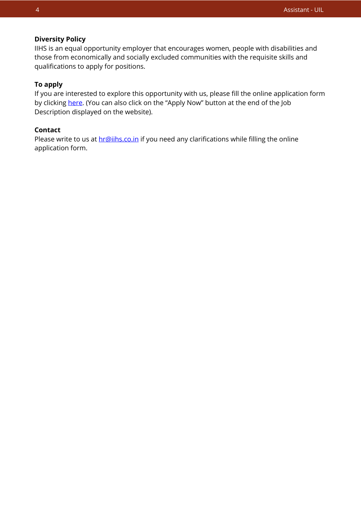### **Diversity Policy**

IIHS is an equal opportunity employer that encourages women, people with disabilities and those from economically and socially excluded communities with the requisite skills and qualifications to apply for positions.

## **To apply**

If you are interested to explore this opportunity with us, please fill the online application form by clicking [here.](https://iihs.co.in/job-application/) (You can also click on the "Apply Now" button at the end of the Job Description displayed on the website).

## **Contact**

Please write to us at **hr@iihs.co.in** if you need any clarifications while filling the online application form.